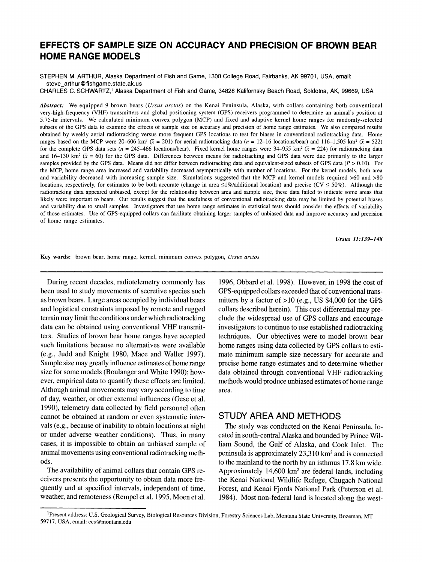# **EFFECTS OF SAMPLE SIZE ON ACCURACY AND PRECISION OF BROWN BEAR HOME RANGE MODELS**

**STEPHEN M. ARTHUR, Alaska Department of Fish and Game, 1300 College Road, Fairbanks, AK 99701, USA, email: steve\_arthur@fishgame.state.ak.us** 

**CHARLES C. SCHWARTZ,1 Alaska Department of Fish and Game, 34828 Kalifornsky Beach Road, Soldotna, AK, 99669, USA** 

**Abstract: We equipped 9 brown bears (Ursus arctos) on the Kenai Peninsula, Alaska, with collars containing both conventional very-high-frequency (VHF) transmitters and global positioning system (GPS) receivers programmed to determine an animal's position at 5.75-hr intervals. We calculated minimum convex polygon (MCP) and fixed and adaptive kernel home ranges for randomly-selected subsets of the GPS data to examine the effects of sample size on accuracy and precision of home range estimates. We also compared results obtained by weekly aerial radiotracking versus more frequent GPS locations to test for biases in conventional radiotracking data. Home**  ranges based on the MCP were 20–606 km<sup>2</sup> ( $\bar{x}$  = 201) for aerial radiotracking data (n = 12–16 locations/bear) and 116–1,505 km<sup>2</sup> ( $\bar{x}$  = 522) for the complete GPS data sets ( $n = 245-466$  locations/bear). Fixed kernel home ranges were  $34-955$  km<sup>2</sup> ( $\bar{x} = 224$ ) for radiotracking data and 16-130 km<sup>2</sup> ( $\bar{x}$  = 60) for the GPS data. Differences between means for radiotracking and GPS data were due primarily to the larger samples provided by the GPS data. Means did not differ between radiotracking data and equivalent-sized subsets of GPS data ( $P > 0.10$ ). For **the MCP, home range area increased and variability decreased asymptotically with number of locations. For the kernel models, both area and variability decreased with increasing sample size. Simulations suggested that the MCP and kernel models required >60 and >80**  locations, respectively, for estimates to be both accurate (change in area  $\leq 1\%$ /additional location) and precise (CV  $\leq 50\%$ ). Although the **radiotracking data appeared unbiased, except for the relationship between area and sample size, these data failed to indicate some areas that likely were important to bears. Our results suggest that the usefulness of conventional radiotracking data may be limited by potential biases and variability due to small samples. Investigators that use home range estimates in statistical tests should consider the effects of variability of those estimates. Use of GPS-equipped collars can facilitate obtaining larger samples of unbiased data and improve accuracy and precision of home range estimates.** 

**Ursus 11:139-148** 

**Key words: brown bear, home range, kernel, minimum convex polygon, Ursus arctos** 

**During recent decades, radiotelemetry commonly has been used to study movements of secretive species such as brown bears. Large areas occupied by individual bears and logistical constraints imposed by remote and rugged terrain may limit the conditions under which radiotracking data can be obtained using conventional VHF transmitters. Studies of brown bear home ranges have accepted such limitations because no alternatives were available (e.g., Judd and Knight 1980, Mace and Waller 1997). Sample size may greatly influence estimates of home range size for some models (Boulanger and White 1990); however, empirical data to quantify these effects are limited. Although animal movements may vary according to time of day, weather, or other external influences (Gese et al. 1990), telemetry data collected by field personnel often cannot be obtained at random or even systematic intervals (e.g., because of inability to obtain locations at night or under adverse weather conditions). Thus, in many cases, it is impossible to obtain an unbiased sample of animal movements using conventional radiotracking methods.** 

**The availability of animal collars that contain GPS receivers presents the opportunity to obtain data more frequently and at specified intervals, independent of time, weather, and remoteness (Rempel et al. 1995, Moen et al.**  **1996, Obbard et al. 1998). However, in 1998 the cost of GPS-equipped collars exceeded that of conventional transmitters by a factor of >10 (e.g., US \$4,000 for the GPS collars described herein). This cost differential may preclude the widespread use of GPS collars and encourage investigators to continue to use established radiotracking techniques. Our objectives were to model brown bear home ranges using data collected by GPS collars to estimate minimum sample size necessary for accurate and precise home range estimates and to determine whether data obtained through conventional VHF radiotracking methods would produce unbiased estimates of home range area.** 

# **STUDY AREA AND METHODS**

**The study was conducted on the Kenai Peninsula, located in south-central Alaska and bounded by Prince William Sound, the Gulf of Alaska, and Cook Inlet. The peninsula is approximately 23,310 km2 and is connected to the mainland to the north by an isthmus 17.8 km wide. Approximately 14,600 km2 are federal lands, including the Kenai National Wildlife Refuge, Chugach National Forest, and Kenai Fjords National Park (Peterson et al. 1984). Most non-federal land is located along the west-**

**<sup>1</sup>Present address: U.S. Geological Survey, Biological Resources Division, Forestry Sciences Lab, Montana State University, Bozeman, MT 59717, USA, email: ccs@montana.edu**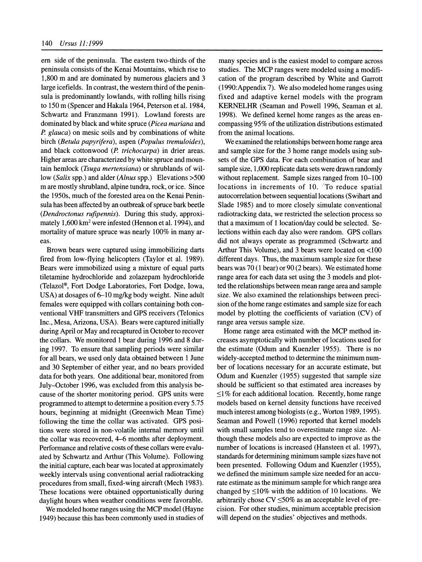**em side of the peninsula. The eastern two-thirds of the peninsula consists of the Kenai Mountains, which rise to 1,800 m and are dominated by numerous glaciers and 3 large icefields. In contrast, the western third of the peninsula is predominantly lowlands, with rolling hills rising to 150 m (Spencer and Hakala 1964, Peterson et al. 1984, Schwartz and Franzmann 1991). Lowland forests are dominated by black and white spruce (Picea mariana and P. glauca) on mesic soils and by combinations of white birch (Betula papyrifera), aspen (Populus tremuloides),**  and black cottonwood (P. trichocarpa) in drier areas. **Higher areas are characterized by white spruce and mountain hemlock (Tsuga mertensiana) or shrublands of willow (Salix spp.) and alder (Alnus spp.) Elevations >500 m are mostly shrubland, alpine tundra, rock, or ice. Since the 1950s, much of the forested area on the Kenai Peninsula has been affected by an outbreak of spruce bark beetle (Dendroctonus rufipennis). During this study, approximately 1,600 km2 were infested (Hennon et al. 1994), and mortality of mature spruce was nearly 100% in many areas.** 

**Brown bears were captured using immobilizing darts fired from low-flying helicopters (Taylor et al. 1989). Bears were immobilized using a mixture of equal parts tiletamine hydrochloride and zolazepam hydrochloride (Telazol?, Fort Dodge Laboratories, Fort Dodge, Iowa, USA) at dosages of 6-10 mg/kg body weight. Nine adult females were equipped with collars containing both conventional VHF transmitters and GPS receivers (Telonics Inc., Mesa, Arizona, USA). Bears were captured initially during April or May and recaptured in October to recover the collars. We monitored 1 bear during 1996 and 8 during 1997. To ensure that sampling periods were similar for all bears, we used only data obtained between 1 June and 30 September of either year, and no bears provided data for both years. One additional bear, monitored from July-October 1996, was excluded from this analysis because of the shorter monitoring period. GPS units were programmed to attempt to determine a position every 5.75 hours, beginning at midnight (Greenwich Mean Time) following the time the collar was activated. GPS positions were stored in non-volatile internal memory until the collar was recovered, 4-6 months after deployment. Performance and relative costs of these collars were evaluated by Schwartz and Arthur (This Volume). Following the initial capture, each bear was located at approximately weekly intervals using conventional aerial radiotracking procedures from small, fixed-wing aircraft (Mech 1983). These locations were obtained opportunistically during daylight hours when weather conditions were favorable.** 

**We modeled home ranges using the MCP model (Hayne 1949) because this has been commonly used in studies of**  **many species and is the easiest model to compare across studies. The MCP ranges were modeled using a modification of the program described by White and Garrott (1990:Appendix 7). We also modeled home ranges using fixed and adaptive kernel models with the program KERNELHR (Seaman and Powell 1996, Seaman et al. 1998). We defined kernel home ranges as the areas encompassing 95% of the utilization distributions estimated from the animal locations.** 

**We examined the relationships between home range area and sample size for the 3 home range models using subsets of the GPS data. For each combination of bear and sample size, 1,000 replicate data sets were drawn randomly without replacement. Sample sizes ranged from 10-100 locations in increments of 10. 'To reduce spatial autocorrelation between sequential locations (Swihart and Slade 1985) and to more closely simulate conventional radiotracking data, we restricted the selection process so that a maximum of 1 location/day could be selected. Selections within each day also were random. GPS collars did not always operate as programmed (Schwartz and Arthur This Volume), and 3 bears were located on <100 different days. Thus, the maximum sample size for these bears was 70 (1 bear) or 90 (2 bears). We estimated home range area for each data set using the 3 models and plotted the relationships between mean range area and sample size. We also examined the relationships between precision of the home range estimates and sample size for each model by plotting the coefficients of variation (CV) of range area versus sample size.** 

**Home range area estimated with the MCP method increases asymptotically with number of locations used for the estimate (Odum and Kuenzler 1955). There is no widely-accepted method to determine the minimum number of locations necessary for an accurate estimate, but Odum and Kuenzler (1955) suggested that sample size should be sufficient so that estimated area increases by <1% for each additional location. Recently, home range models based on kernel density functions have received much interest among biologists (e.g., Worton 1989, 1995). Seaman and Powell (1996) reported that kernel models with small samples tend to overestimate range size. Although these models also are expected to improve as the number of locations is increased (Hansteen et al. 1997), standards for determining minimum sample sizes have not been presented. Following Odum and Kuenzler (1955), we defined the minimum sample size needed for an accurate estimate as the minimum sample for which range area changed by <10% with the addition of 10 locations. We arbitrarily chose CV <50% as an acceptable level of precision. For other studies, minimum acceptable precision will depend on the studies' objectives and methods.**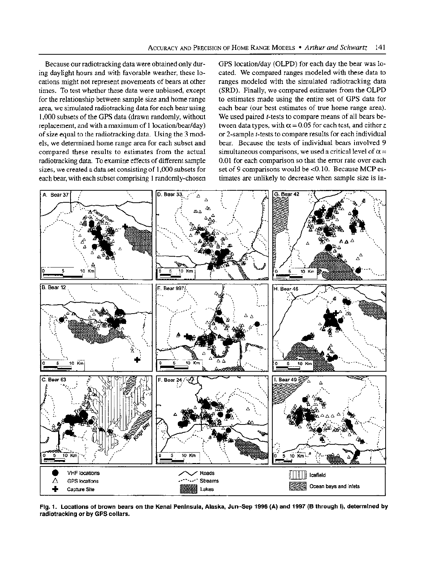**Because our radiotracking data were obtained only during daylight hours and with favorable weather, these locations might not represent movements of bears at other times. To test whether these data were unbiased, except for the relationship between sample size and home range area, we simulated radiotracking data for each bear using 1,000 subsets of the GPS data (drawn randomly, without replacement, and with a maximum of 1 location/bear/day) of size equal to the radiotracking data. Using the 3 models, we determined home range area for each subset and compared these results to estimates from the actual radiotracking data. To examine effects of different sample sizes, we created a data set consisting of 1,000 subsets for each bear, with each subset comprising 1 randomly-chosen** 

**GPS location/day (OLPD) for each day the bear was located. We compared ranges modeled with these data to ranges modeled with the simulated radiotracking data (SRD). Finally, we compared estimates from the OLPD to estimates made using the entire set of GPS data for each bear (our best estimates of true home range area). We used paired t-tests to compare means of all bears be**tween data types, with  $\alpha$  = 0.05 for each test, and either z **or 2-sample t-tests to compare results for each individual bear. Because the tests of individual bears involved 9**  simultaneous comparisons, we used a critical level of  $\alpha =$ **0.01 for each comparison so that the error rate over each set of 9 comparisons would be <0.10. Because MCP estimates are unlikely to decrease when sample size is in-**



**Fig. 1. Locations of brown bears on the Kenai Peninsula, Alaska, Jun-Sep 1996 (A) and 1997 (B through I), determined by radiotracking or by GPS collars.**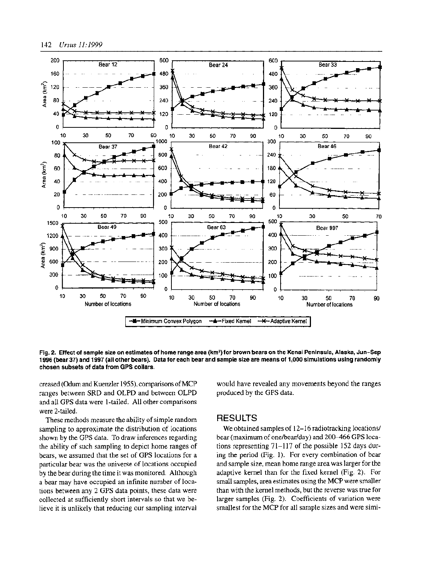

**Fig. 2. Effect of sample size on estimates of home range area (km2) for brown bears on the Kenai Peninsula, Alaska, Jun-Sep 1996 (bear 37) and 1997 (all other bears). Data for each bear and sample size are means of 1,000 simulations using randomly chosen subsets of data from GPS collars.** 

**creased (Odum and Kuenzler 1955), comparisons of MCP ranges between SRD and OLPD and between OLPD and all GPS data were 1-tailed. All other comparisons were 2-tailed.** 

**These methods measure the ability of simple random sampling to approximate the distribution of locations shown by the GPS data. To draw inferences regarding the ability of such sampling to depict home ranges of bears, we assumed that the set of GPS locations for a particular bear was the universe of locations occupied by the bear during the time it was monitored. Although a bear may have occupied an infinite number of locations between any 2 GPS data points, these data were collected at sufficiently short intervals so that we believe it is unlikely that reducing our sampling interval** 

**would have revealed any movements beyond the ranges produced by the GPS data.** 

# **RESULTS**

**We obtained samples of 12-16 radiotracking locations/ bear (maximum of one/bear/day) and 200-466 GPS locations representing 71-117 of the possible 152 days during the period (Fig. 1). For every combination of bear and sample size, mean home range area was larger for the adaptive kernel than for the fixed kernel (Fig. 2). For small samples, area estimates using the MCP were smaller than with the kernel methods, but the reverse was true for larger samples (Fig. 2). Coefficients of variation were smallest for the MCP for all sample sizes and were simi-**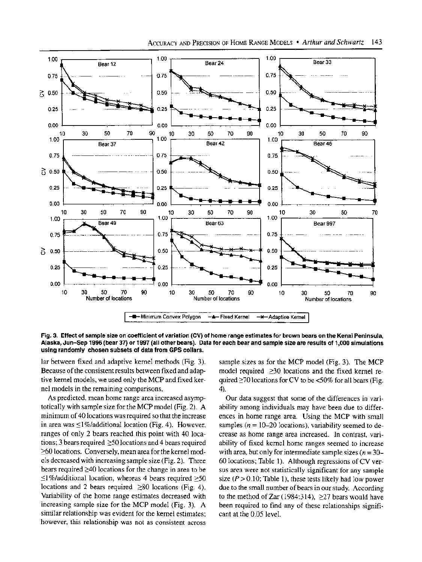

**Fig. 3. Effect of sample size on coefficient of variation (CV) of home range estimates for brown bears on the Kenai Peninsula, Alaska, Jun-Sep 1996 (bear 37) or 1997 (all other bears). Data for each bear and sample size are results of 1,000 simulations using randomly chosen subsets of data from GPS collars.** 

**lar between fixed and adaptive kernel methods (Fig. 3). Because of the consistent results between fixed and adaptive kernel models, we used only the MCP and fixed kernel models in the remaining comparisons.** 

**As predicted, mean home range area increased asymptotically with sample size for the MCP model (Fig. 2). A minimum of 40 locations was required so that the increase**  in area was  $\leq$ 1%/additional location (Fig. 4). However, **ranges of only 2 bears reached this point with 40 loca**tions; 3 bears required  $\geq$ 50 locations and 4 bears required **>60 locations. Conversely, mean area for the kernel models decreased with increasing sample size (Fig. 2). Three bears required >40 locations for the change in area to be <1%/additional location, whereas 4 bears required >50 locations and 2 bears required ≥80 locations (Fig. 4). Variability of the home range estimates decreased with increasing sample size for the MCP model (Fig. 3). A similar relationship was evident for the kernel estimates; however, this relationship was not as consistent across** 

**sample sizes as for the MCP model (Fig. 3). The MCP model required >30 locations and the fixed kernel required >70 locations for CV to be <50% for all bears (Fig. 4).** 

**Our data suggest that some of the differences in variability among individuals may have been due to differences in home range area. Using the MCP with small**  samples  $(n = 10-20)$  locations), variability seemed to de**crease as home range area increased. In contrast, variability of fixed kernel home ranges seemed to increase**  with area, but only for intermediate sample sizes  $(n = 30-$ **60 locations; Table 1). Although regressions of CV versus area were not statistically significant for any sample**  size  $(P > 0.10$ ; Table 1), these tests likely had low power **due to the small number of bears in our study. According**  to the method of Zar (1984:314), ≥27 bears would have **been required to find any of these relationships significant at the 0.05 level.**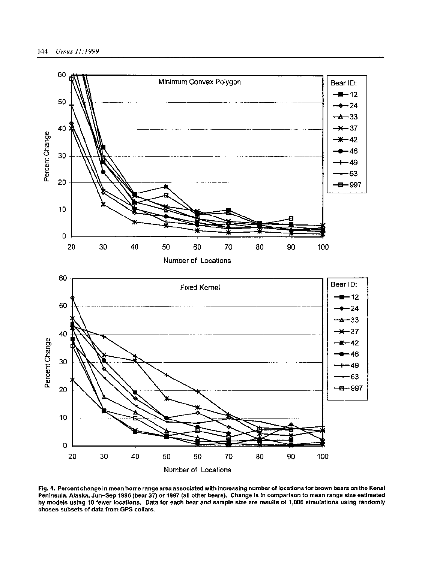

**Fig. 4. Percent change in mean home range area associated with increasing number of locations for brown bears on the Kenai Peninsula, Alaska, Jun-Sep 1996 (bear 37) or 1997 (all other bears). Change is in comparison to mean range size estimated by models using 10 fewer locations. Data for each bear and sample size are results of 1,000 simulations using randomly chosen subsets of data from GPS collars.**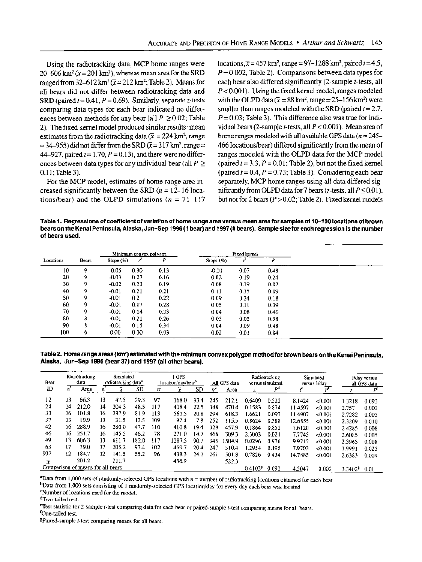**Using the radiotracking data, MCP home ranges were**   $20-606$  km<sup>2</sup> ( $\bar{x} = 201$  km<sup>2</sup>), whereas mean area for the SRD ranged from  $32-612$  km<sup>2</sup> ( $\bar{x}=212$  km<sup>2</sup>; Table 2). Means for **all bears did not differ between radiotracking data and SRD** (paired  $t = 0.41$ ,  $P = 0.69$ ). Similarly, separate z-tests **comparing data types for each bear indicated no differences between methods for any bear (all**  $P \ge 0.02$ **; Table 2). The fixed kernel model produced similar results: mean**  estimates from the radiotracking data  $(\bar{x} = 224 \text{ km}^2, \text{range})$  $= 34-955$ ) did not differ from the SRD ( $\bar{x} = 317$  km<sup>2</sup>, range  $=$ 44-927, paired  $t = 1.70$ ,  $P = 0.13$ ), and there were no differences between data types for any individual bear (all  $P \geq$ **0.11; Table 3).** 

**For the MCP model, estimates of home range area increased significantly between the SRD (n = 12-16 loca**tions/bear) and the OLPD simulations  $(n = 71-117)$   $\text{locations}, \bar{x} = 457 \text{ km}^2, \text{ range} = 97 - 1288 \text{ km}^2, \text{ paired } t = 4.5,$ **P = 0.002, Table 2). Comparisons between data types for each bear also differed significantly (2-sample t-tests, all P < 0.001). Using the fixed kernel model, ranges modeled**  with the OLPD data  $(\bar{x} = 88 \text{ km}^2, \text{range} = 25 - 156 \text{ km}^2)$  were **smaller than ranges modeled with the SRD (paired t = 2.7, P = 0.03; Table 3). This difference also was true for individual bears (2-sample t-tests, all P < 0.001). Mean area of home ranges modeled with all available GPS data (n = 245- 466 locations/bear) differed significantly from the mean of ranges modeled with the OLPD data for the MCP model**   $\text{(paired } t = 3.3, P = 0.01; \text{Table 2)}, \text{ but not the fixed kemel}$  $(\text{paired } t = 0.4, P = 0.73; \text{ Table 3}).$  Considering each bear **separately, MCP home ranges using all data differed sig**mificantly from OLPD data for 7 bears ( $z$ -tests, all  $P \leq 0.01$ ), **but not for 2 bears (P > 0.02; Table 2). Fixed kernel models** 

**Table 1. Regressions of coefficient of variation of home range area versus mean area for samples of 10-100 locations of brown bears on the Kenai Peninsula, Alaska, Jun-Sep 1996 (1 bear) and 1997 (8 bears). Sample size for each regression is the number of bears used.** 

|           |              |              | Minimum convex polygon |      | Fixed kernel |      |      |  |  |  |
|-----------|--------------|--------------|------------------------|------|--------------|------|------|--|--|--|
| Locations | <b>Bears</b> | Slope $(\%)$ |                        |      | Slope $(\%)$ |      | ₽    |  |  |  |
| 10        | 9            | $-0.05$      | 0.30                   | 0.13 | $-0.01$      | 0.07 | 0.48 |  |  |  |
| 20        | 9            | $-0.03$      | 0.27                   | 0.16 | 0.02         | 0.19 | 0.24 |  |  |  |
| 30        | 9            | $-0.02$      | 0.23                   | 0.19 | 0.08         | 0.39 | 0.07 |  |  |  |
| 40        | 9            | $-0.01$      | 0.21                   | 0.21 | 0.11         | 0.35 | 0.09 |  |  |  |
| 50        | 9            | $-0.01$      | 0.2                    | 0.22 | 0.09         | 0.24 | 0.18 |  |  |  |
| 60        | 9.           | $-0.01$      | 0.17                   | 0.28 | 0.05         | 0.11 | 0.39 |  |  |  |
| 70        | 9            | $-0.01$      | 0.14                   | 0.33 | 0.04         | 0.08 | 0.46 |  |  |  |
| 80        | 8            | $-0.01$      | 0.21                   | 0.26 | 0.03         | 0.05 | 0.58 |  |  |  |
| 90        | 8            | $-0.01$      | 0.15                   | 0.34 | 0.04         | 0.09 | 0.48 |  |  |  |
| 100       | 6            | 0.00         | 0.00                   | 0.93 | 0.02         | 0.01 | 0.84 |  |  |  |

**Table 2. Home range areas (km2) estimated with the minimum convex polygon method for brown bears on the Kenai Peninsula, Alaska, Jun-Sep 1996 (bear 37) and 1997 (all other bears).** 

| Bear                              | Radiotracking<br>data |       |    | Simulated<br>radiotracking data' |       |             | l GPS<br>location/day/bear <sup>b</sup> |           |       | All GPS data | Radiotracking<br>versus simulated |       | Simulated<br>versus I/day |         | May versus<br>all GPS data |       |
|-----------------------------------|-----------------------|-------|----|----------------------------------|-------|-------------|-----------------------------------------|-----------|-------|--------------|-----------------------------------|-------|---------------------------|---------|----------------------------|-------|
| ID                                | n.                    | Area  |    | x                                | SD    | $n^{\circ}$ |                                         | <b>SD</b> | $n^c$ | Area         |                                   |       |                           |         |                            |       |
| 12                                | 13                    | 66.3  | 13 | 47.5                             | 29.3  | 97          | 168.0                                   | 33.4      | 245   | 212.1        | 0.6409                            | 0.522 | 8.1424                    | < 0.001 | 1.3218                     | 0.093 |
| 24                                | 14                    | 212.0 | 14 | 204.3                            | 48.5  | 117         | 408.4                                   | 22.5      | 348   | 470.4        | 0.1583                            | 0.874 | 11.4597                   | < 0.001 | 2.757                      | 0.003 |
| 33                                | 16                    | 101.8 | 16 | 237.9                            | 81.9  | 113         | 561.5                                   | 20.8      | 294   | 618.3        | 1.6621                            | 0.097 | 11.4907                   | < 0.001 | 2.7282                     | 0.003 |
| 37                                | 13                    | 19.9  | 13 | 31.5                             | 13.5  | 109         | 97.4                                    | 7.8       | 252   | 115.5        | 0.8624                            | 0.388 | 12.6855                   | < 0.001 | 2.3209                     | 0.010 |
| 42                                | 16.                   | 288.9 | 16 | 280.0                            | 47.7  | 110         | 410.8                                   | 19.4      | 329   | 457.9        | 0.1864                            | 0.852 | 7.6120                    | <0.001  | 2.4285                     | 0.008 |
| 46                                | 16.                   | 251.7 | 16 | 145.5                            | 46.2  | 78          | 271.0                                   | 14.7      | 466   | 309.3        | 2.3003                            | 0.021 | 7.7745                    | 0.001   | 2.6085                     | 0.005 |
| 49                                | 13                    | 606.3 | 13 | 611.7                            | 182.0 | 117         | 1287.5                                  | 90.7      | 345   | 1504.9       | 0.0296                            | 0.976 | 9.9712                    | < 0.001 | 2.3965                     | 0.008 |
| 63                                | 17                    | 79.0  | 17 | 205.2                            | 97.4  | 102         | 469.7                                   | 20.4      | 247   | 510.4        | 1.2954                            | 0.195 | 7.9703                    | < 0.001 | 1.9991                     | 0.023 |
| 997                               | 12                    | 184.7 | 12 | 141.5                            | 55.2  | 96          | 438.3                                   | 24.1      | 261   | 501.8        | 0.7826                            | 0.434 | 14.7885                   | < 0.001 | 2.6383                     | 0.004 |
| x                                 |                       | 201.2 |    | 211.7                            |       |             | 456.9                                   |           |       | 522.3        |                                   |       |                           |         |                            |       |
| Comparison of means for all bears |                       |       |    |                                  |       |             |                                         |           |       |              | 0.4103 <sup>8</sup>               | 0.692 | 4.5047                    | 0.002   | 3.3402 <sup>8</sup>        | 0.01  |

**aData from 1,000 sets of randomly-selected GPS locations with n = number of radiotracking locations obtained for each bear.** 

**bData from 1,000 sets consisting of 1 randomly-selected GPS location/day for every day each bear was located.** 

**CNumber of locations used for the model.** 

**dTwo-tailed test.** 

**eTest statistic for 2-sample t-test comparing data for each bear or paired-sample t-test comparing means for all bears.** 

**fOne-tailed test.** 

**gPaired-sample t-test comparing means for all bears.**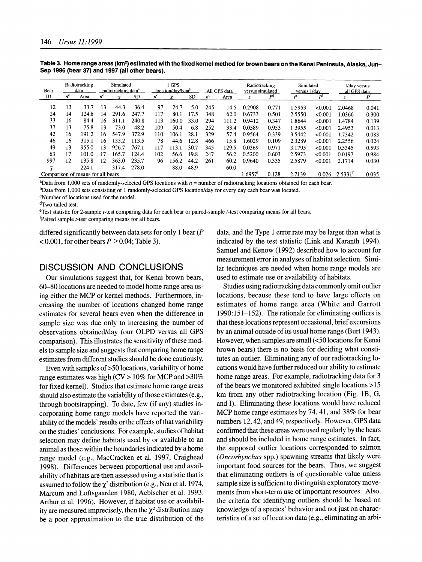| Bear                              | Radiotracking<br>data |       | Simulated<br>radiotracking data <sup>a</sup> |           |       | 1 GPS<br>location/day/bear <sup>b</sup> |           |           | All GPS data |       | Radiotracking<br>versus simulated |       | Simulated<br>versus 1/day |         | 1/day versus<br>all GPS data |       |
|-----------------------------------|-----------------------|-------|----------------------------------------------|-----------|-------|-----------------------------------------|-----------|-----------|--------------|-------|-----------------------------------|-------|---------------------------|---------|------------------------------|-------|
| ID                                | $n^{c}$               | Area  | $n^{c}$                                      | x         | SD    | $n^{c}$                                 | $\bar{x}$ | <b>SD</b> | $n^{c}$      | Area  | z                                 | DO    |                           | Þf      |                              | pl    |
| 12                                | 13                    | 33.7  | 13                                           | 44.3      | 36.4  | 97                                      | 24.7      | 5.0       | 245          | 14.5  | 0.2908                            | 0.771 | 1.5953                    | <0.001  | 2.0468                       | 0.041 |
| 24                                | 14                    | 124.8 | 14                                           | 291.6     | 247.7 | 117                                     | 80.1      | 17.5      | 348          | 62.0  | 0.6733                            | 0.501 | 2.5550                    | < 0.001 | 1.0366                       | 0.300 |
| 33                                | 16                    | 84.4  | 16                                           | 311.1     | 240.8 | 113                                     | 160.0     | 33.0      | 294          | 111.2 | 0.9412                            | 0.347 | 1.8644                    | < 0.001 | 1.4784                       | 0.139 |
| 37                                | 13                    | 75.8  | 13                                           | 73.0      | 48.2  | 109                                     | 50.4      | 6.8       | 252          | 33.4  | 0.0589                            | 0.953 | 1.3955                    | < 0.001 | 2.4953                       | 0.013 |
| 42                                | 16                    | 191.2 | 16                                           | 547<br>و. | 372.9 | 110                                     | 106.1     | 28.1      | 329          | 57.4  | 0.9564                            | 0.339 | 3.5442                    | < 0.001 | 1.7342                       | 0.083 |
| 46                                | 16                    | 315.1 | 6                                            | 133.2     | 113.5 | 78                                      | 44.6      | 12.8      | 466          | 15.8  | 1.6029                            | 0.109 | 2.3289                    | < 0.001 | 2.2556                       | 0.024 |
| 49                                | 13                    | 955.0 | 13                                           | 926.7     | 767.1 | 117                                     | 13.1      | 30.7      | 345          | 129.5 | 0.0369                            | 0.971 | 3.1795                    | < 0.001 | 0.5345                       | 0.593 |
| 63                                | 17                    | 101.0 | 17                                           | 165.7     | 124.4 | 102                                     | 56.6      | 19.8      | 247          | 56.2  | 0.5200                            | 0.603 | 2.5973                    | < 0.001 | 0.0197                       | 0.984 |
| 997                               | 12                    | 135.8 | 12                                           | 363.0     | 235.7 | 96                                      | 156.2     | 44.2      | 261          | 60.2  | 0.9640                            | 0.335 | 2.5879                    | < 0.001 | 2.1714                       | 0.030 |
| $\overline{x}$                    |                       | 224.1 |                                              | 317.4     | 278.0 |                                         | 88.0      | 48.9      |              | 60.0  |                                   |       |                           |         |                              |       |
| Comparison of means for all bears |                       |       |                                              |           |       |                                         |           |           |              |       | 1.6957                            | 0.128 | 2.7139                    | 0.026   | 2.5331 <sup>T</sup>          | 0.035 |

Table 3. Home range areas (km<sup>2</sup>) estimated with the fixed kernel method for brown bears on the Kenai Peninsula, Alaska, Jun-**Sep 1996 (bear 37) and 1997 (all other bears).** 

**aData from 1,000 sets of randomly-selected GPS locations with n = number of radiotracking locations obtained for each bear.** 

**bData from 1,000 sets consisting of 1 randomly-selected GPS location/day for every day each bear was located.** 

**CNumber of locations used for the model.** 

**dTwo-tailed test.** 

**eTest statistic for 2-sample t-test comparing data for each bear or paired-sample t-test comparing means for all bears.** 

**fPaired sample t-test comparing means for all bears.** 

**differed significantly between data sets for only 1 bear (P**   $< 0.001$ , for other bears  $P \ge 0.04$ ; Table 3).

#### **DISCUSSION AND CONCLUSIONS**

**Our simulations suggest that, for Kenai brown bears, 60-80 locations are needed to model home range area using either the MCP or kernel methods. Furthermore, increasing the number of locations changed home range estimates for several bears even when the difference in sample size was due only to increasing the number of observations obtained/day (our OLPD versus all GPS comparison). This illustrates the sensitivity of these models to sample size and suggests that comparing home range estimates from different studies should be done cautiously.** 

**Even with samples of>50 locations, variability of home range estimates was high (CV > 10% for MCP and >30% for fixed kernel). Studies that estimate home range areas should also estimate the variability of those estimates (e.g., through bootstrapping). To date, few (if any) studies incorporating home range models have reported the variability of the models' results or the effects of that variability on the studies' conclusions. For example, studies of habitat selection may define habitats used by or available to an animal as those within the boundaries indicated by a home range model (e.g., MacCracken et al. 1997, Craighead 1998). Differences between proportional use and availability of habitats are then assessed using a statistic that is**  assumed to follow the  $\chi^2$  distribution (e.g., Neu et al. 1974, **Marcum and Loftsgaarden 1980, Aebischer et al. 1993, Arthur et al. 1996). However, if habitat use or availabil**ity are measured imprecisely, then the  $\chi^2$  distribution may **be a poor approximation to the true distribution of the** 

**data, and the Type 1 error rate may be larger than what is indicated by the test statistic (Link and Karanth 1994). Samuel and Kenow (1992) described how to account for measurement error in analyses of habitat selection. Similar techniques are needed when home range models are used to estimate use or availability of habitats.** 

**Studies using radiotracking data commonly omit outlier locations, because these tend to have large effects on estimates of home range area (White and Garrott 1990:151-152). The rationale for eliminating outliers is that these locations represent occasional, brief excursions by an animal outside of its usual home range (Burt 1943). However, when samples are small (<50 locations for Kenai brown bears) there is no basis for deciding what constitutes an outlier. Eliminating any of our radiotracking locations would have further reduced our ability to estimate home range areas. For example, radiotracking data for 3 of the bears we monitored exhibited single locations >15 km from any other radiotracking location (Fig. 1B, G, and I). Eliminating these locations would have reduced MCP home range estimates by 74, 41, and 38% for bear numbers 12, 42, and 49, respectively. However, GPS data confirmed that these areas were used regularly by the bears and should be included in home range estimates. In fact, the supposed outlier locations corresponded to salmon (Oncorhynchus spp.) spawning streams that likely were important food sources for the bears. Thus, we suggest that eliminating outliers is of questionable value unless sample size is sufficient to distinguish exploratory movements from short-term use of important resources. Also, the criteria for identifying outliers should be based on knowledge of a species' behavior and not just on characteristics of a set of location data (e.g., eliminating an arbi-**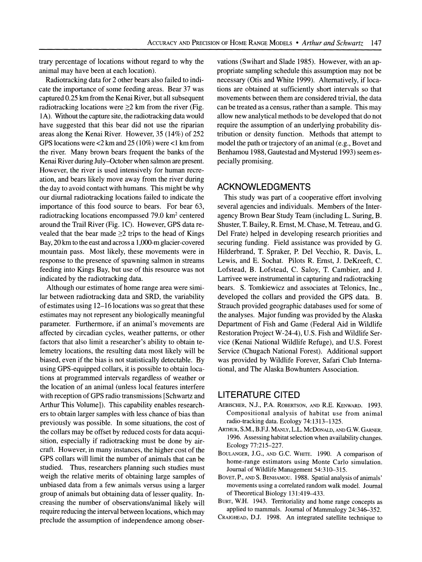**trary percentage of locations without regard to why the animal may have been at each location).** 

**Radiotracking data for 2 other bears also failed to indicate the importance of some feeding areas. Bear 37 was captured 0.25 km from the Kenai River, but all subsequent radiotracking locations were >2 km from the river (Fig. 1A). Without the capture site, the radiotracking data would have suggested that this bear did not use the riparian areas along the Kenai River. However, 35 (14%) of 252 GPS locations were <2 km and 25 (10%) were <1 km from the river. Many brown bears frequent the banks of the Kenai River during July-October when salmon are present. However, the river is used intensively for human recreation, and bears likely move away from the river during the day to avoid contact with humans. This might be why our diurnal radiotracking locations failed to indicate the importance of this food source to bears. For bear 63, radiotracking locations encompassed 79.0 km2 centered around the Trail River (Fig. 1C). However, GPS data re**vealed that the bear made  $\geq$ 2 trips to the head of Kings **Bay, 20 km to the east and across a 1,000-m glacier-covered mountain pass. Most likely, these movements were in response to the presence of spawning salmon in streams feeding into Kings Bay, but use of this resource was not indicated by the radiotracking data.** 

**Although our estimates of home range area were similar between radiotracking data and SRD, the variability of estimates using 12-16 locations was so great that these estimates may not represent any biologically meaningful parameter. Furthermore, if an animal's movements are affected by circadian cycles, weather patterns, or other factors that also limit a researcher's ability to obtain telemetry locations, the resulting data most likely will be biased, even if the bias is not statistically detectable. By using GPS-equipped collars, it is possible to obtain locations at programmed intervals regardless of weather or the location of an animal (unless local features interfere with reception of GPS radio transmissions [Schwartz and Arthur This Volume]). This capability enables researchers to obtain larger samples with less chance of bias than previously was possible. In some situations, the cost of the collars may be offset by reduced costs for data acquisition, especially if radiotracking must be done by aircraft. However, in many instances, the higher cost of the GPS collars will limit the number of animals that can be studied. Thus, researchers planning such studies must weigh the relative merits of obtaining large samples of unbiased data from a few animals versus using a larger group of animals but obtaining data of lesser quality. Increasing the number of observations/animal likely will require reducing the interval between locations, which may preclude the assumption of independence among obser-** **vations (Swihart and Slade 1985). However, with an appropriate sampling schedule this assumption may not be necessary (Otis and White 1999). Alternatively, if locations are obtained at sufficiently short intervals so that movements between them are considered trivial, the data can be treated as a census, rather than a sample. This may allow new analytical methods to be developed that do not require the assumption of an underlying probability distribution or density function. Methods that attempt to model the path or trajectory of an animal (e.g., Bovet and Benhamou 1988, Gautestad and Mysterud 1993) seem especially promising.** 

# **ACKNOWLEDGMENTS**

**This study was part of a cooperative effort involving several agencies and individuals. Members of the Interagency Brown Bear Study Team (including L. Suring, B. Shuster, T. Bailey, R. Ernst, M. Chase, M. Tetreau, and G. Del Frate) helped in developing research priorities and securing funding. Field assistance was provided by G. Hilderbrand, T. Spraker, P. Del Vecchio, R. Davis, L. Lewis, and E. Sochat. Pilots R. Ernst, J. DeKreeft, C. Lofstead, B. Lofstead, C. Saloy, T. Cambier, and J. Larrivee were instrumental in capturing and radiotracking bears. S. Tomkiewicz and associates at Telonics, Inc., developed the collars and provided the GPS data. B. Strauch provided geographic databases used for some of the analyses. Major funding was provided by the Alaska Department of Fish and Game (Federal Aid in Wildlife Restoration Project W-24-4), U.S. Fish and Wildlife Service (Kenai National Wildlife Refuge), and U.S. Forest Service (Chugach National Forest). Additional support was provided by Wildlife Forever, Safari Club International, and The Alaska Bowhunters Association.** 

# **LITERATURE CITED**

- **AEBISCHER, N.J., P.A. ROBERTSON, AND R.E. KENWARD. 1993. Compositional analysis of habitat use from animal radio-tracking data. Ecology 74:1313-1325.**
- **ARTHUR, S.M., B.F.J. MANLY, L.L. MCDONALD, AND G.W. GARNER. 1996. Assessing habitat selection when availability changes. Ecology 77:215-227.**
- **BOULANGER, J.G., AND G.C. WHITE. 1990. A comparison of home-range estimators using Monte Carlo simulation. Journal of Wildlife Management 54:310-315.**
- **BOVET, P., AND S. BENHAMOU. 1988. Spatial analysis of animals' movements using a correlated random walk model. Journal of Theoretical Biology 131:419-433.**
- **BURT, W.H. 1943. Territoriality and home range concepts as applied to mammals. Journal of Mammalogy 24:346-352.**
- **CRAIGHEAD, D.J. 1998. An integrated satellite technique to**